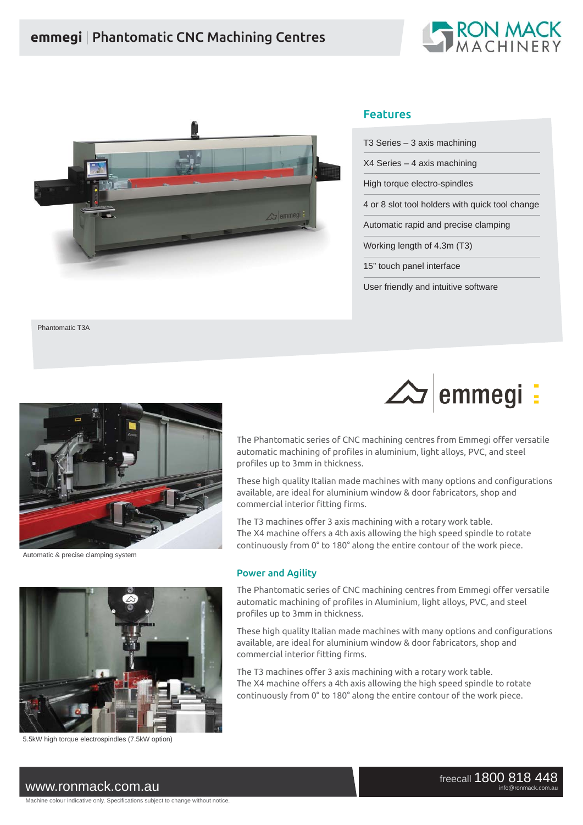# **emmegi** | Phantomatic CNC Machining Centres





## Features

| T3 Series - 3 axis machining                    |
|-------------------------------------------------|
| X4 Series – 4 axis machining                    |
| High torque electro-spindles                    |
| 4 or 8 slot tool holders with quick tool change |
| Automatic rapid and precise clamping            |
| Working length of 4.3m (T3)                     |
| 15" touch panel interface                       |
| User friendly and intuitive software            |

Phantomatic T3A





Automatic & precise clamping system



5.5kW high torque electrospindles (7.5kW option)

Power and Agility

profiles up to 3mm in thickness.

commercial interior fitting firms.

The Phantomatic series of CNC machining centres from Emmegi offer versatile automatic machining of profiles in Aluminium, light alloys, PVC, and steel profiles up to 3mm in thickness.

The Phantomatic series of CNC machining centres from Emmegi offer versatile automatic machining of profiles in aluminium, light alloys, PVC, and steel

These high quality Italian made machines with many options and configurations

available, are ideal for aluminium window & door fabricators, shop and

The X4 machine offers a 4th axis allowing the high speed spindle to rotate continuously from 0° to 180° along the entire contour of the work piece.

The T3 machines offer 3 axis machining with a rotary work table.

These high quality Italian made machines with many options and configurations available, are ideal for aluminium window & door fabricators, shop and commercial interior fitting firms.

The T3 machines offer 3 axis machining with a rotary work table. The X4 machine offers a 4th axis allowing the high speed spindle to rotate continuously from 0° to 180° along the entire contour of the work piece.